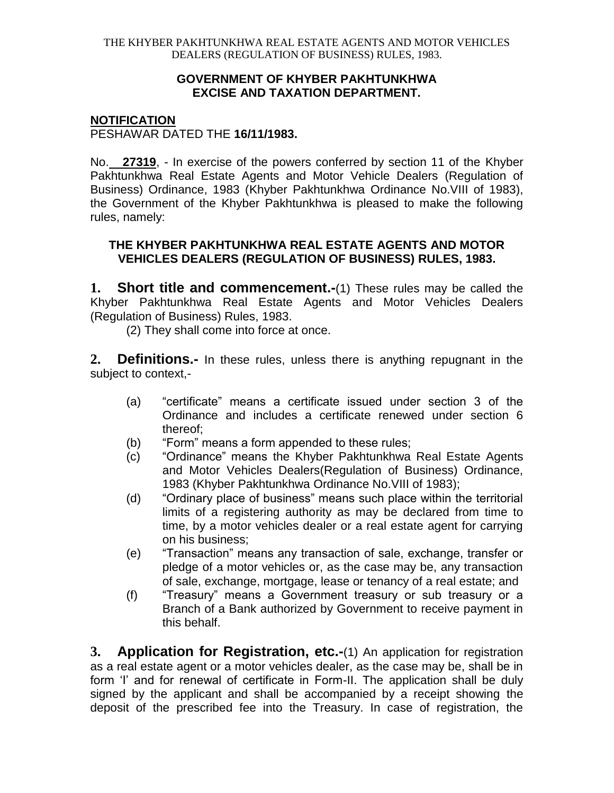## **GOVERNMENT OF KHYBER PAKHTUNKHWA EXCISE AND TAXATION DEPARTMENT.**

## **NOTIFICATION**

PESHAWAR DATED THE **16/11/1983.**

No. **27319**, - In exercise of the powers conferred by section 11 of the Khyber Pakhtunkhwa Real Estate Agents and Motor Vehicle Dealers (Regulation of Business) Ordinance, 1983 (Khyber Pakhtunkhwa Ordinance No.VIII of 1983), the Government of the Khyber Pakhtunkhwa is pleased to make the following rules, namely:

## **THE KHYBER PAKHTUNKHWA REAL ESTATE AGENTS AND MOTOR VEHICLES DEALERS (REGULATION OF BUSINESS) RULES, 1983.**

**1. Short title and commencement.-**(1) These rules may be called the Khyber Pakhtunkhwa Real Estate Agents and Motor Vehicles Dealers (Regulation of Business) Rules, 1983.

(2) They shall come into force at once.

**2. Definitions.-** In these rules, unless there is anything repugnant in the subject to context,-

- (a) "certificate" means a certificate issued under section 3 of the Ordinance and includes a certificate renewed under section 6 thereof;
- (b) "Form" means a form appended to these rules;
- (c) "Ordinance" means the Khyber Pakhtunkhwa Real Estate Agents and Motor Vehicles Dealers(Regulation of Business) Ordinance, 1983 (Khyber Pakhtunkhwa Ordinance No.VIII of 1983);
- (d) "Ordinary place of business" means such place within the territorial limits of a registering authority as may be declared from time to time, by a motor vehicles dealer or a real estate agent for carrying on his business;
- (e) "Transaction" means any transaction of sale, exchange, transfer or pledge of a motor vehicles or, as the case may be, any transaction of sale, exchange, mortgage, lease or tenancy of a real estate; and
- (f) "Treasury" means a Government treasury or sub treasury or a Branch of a Bank authorized by Government to receive payment in this behalf.

**3. Application for Registration, etc.-**(1) An application for registration as a real estate agent or a motor vehicles dealer, as the case may be, shall be in form 'I' and for renewal of certificate in Form-II. The application shall be duly signed by the applicant and shall be accompanied by a receipt showing the deposit of the prescribed fee into the Treasury. In case of registration, the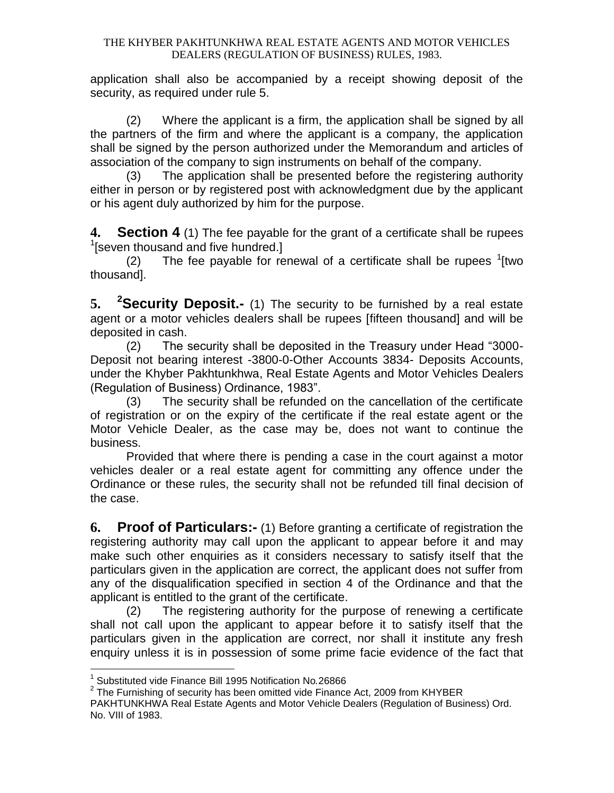application shall also be accompanied by a receipt showing deposit of the security, as required under rule 5.

(2) Where the applicant is a firm, the application shall be signed by all the partners of the firm and where the applicant is a company, the application shall be signed by the person authorized under the Memorandum and articles of association of the company to sign instruments on behalf of the company.

(3) The application shall be presented before the registering authority either in person or by registered post with acknowledgment due by the applicant or his agent duly authorized by him for the purpose.

**4. Section 4** (1) The fee payable for the grant of a certificate shall be rupees <sup>1</sup>[seven thousand and five hundred.]

(2) The fee payable for renewal of a certificate shall be rupees  $1$ [two thousand].

**5. <sup>2</sup>Security Deposit.-** (1) The security to be furnished by a real estate agent or a motor vehicles dealers shall be rupees [fifteen thousand] and will be deposited in cash.

(2) The security shall be deposited in the Treasury under Head "3000- Deposit not bearing interest -3800-0-Other Accounts 3834- Deposits Accounts, under the Khyber Pakhtunkhwa, Real Estate Agents and Motor Vehicles Dealers (Regulation of Business) Ordinance, 1983".

(3) The security shall be refunded on the cancellation of the certificate of registration or on the expiry of the certificate if the real estate agent or the Motor Vehicle Dealer, as the case may be, does not want to continue the business.

Provided that where there is pending a case in the court against a motor vehicles dealer or a real estate agent for committing any offence under the Ordinance or these rules, the security shall not be refunded till final decision of the case.

**6. Proof of Particulars:-** (1) Before granting a certificate of registration the registering authority may call upon the applicant to appear before it and may make such other enquiries as it considers necessary to satisfy itself that the particulars given in the application are correct, the applicant does not suffer from any of the disqualification specified in section 4 of the Ordinance and that the applicant is entitled to the grant of the certificate.

(2) The registering authority for the purpose of renewing a certificate shall not call upon the applicant to appear before it to satisfy itself that the particulars given in the application are correct, nor shall it institute any fresh enquiry unless it is in possession of some prime facie evidence of the fact that

 1 Substituted vide Finance Bill 1995 Notification No*.*26866

 $^2$  The Furnishing of security has been omitted vide Finance Act, 2009 from KHYBER

PAKHTUNKHWA Real Estate Agents and Motor Vehicle Dealers (Regulation of Business) Ord. No. VIII of 1983.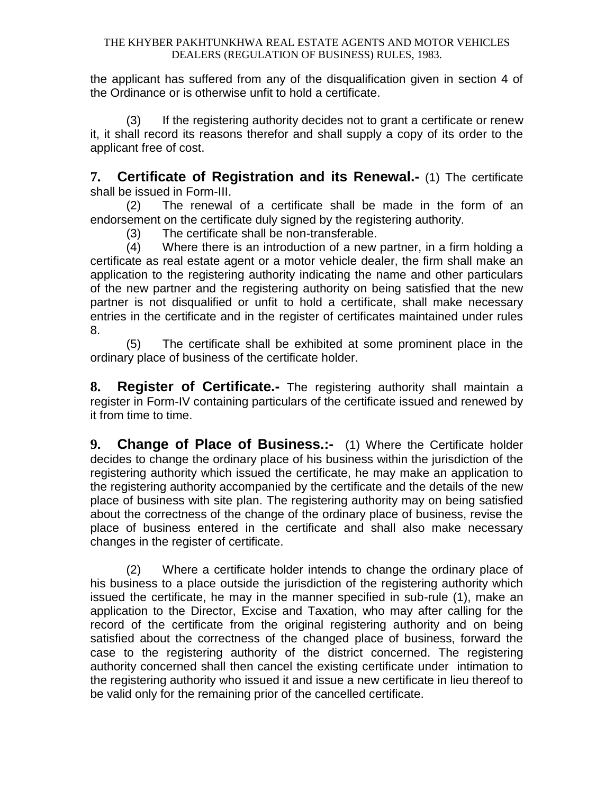the applicant has suffered from any of the disqualification given in section 4 of the Ordinance or is otherwise unfit to hold a certificate.

(3) If the registering authority decides not to grant a certificate or renew it, it shall record its reasons therefor and shall supply a copy of its order to the applicant free of cost.

**7. Certificate of Registration and its Renewal.-** (1) The certificate shall be issued in Form-III.

(2) The renewal of a certificate shall be made in the form of an endorsement on the certificate duly signed by the registering authority.

(3) The certificate shall be non-transferable.

(4) Where there is an introduction of a new partner, in a firm holding a certificate as real estate agent or a motor vehicle dealer, the firm shall make an application to the registering authority indicating the name and other particulars of the new partner and the registering authority on being satisfied that the new partner is not disqualified or unfit to hold a certificate, shall make necessary entries in the certificate and in the register of certificates maintained under rules 8.

(5) The certificate shall be exhibited at some prominent place in the ordinary place of business of the certificate holder.

**8. Register of Certificate.-** The registering authority shall maintain a register in Form-IV containing particulars of the certificate issued and renewed by it from time to time.

**9. Change of Place of Business.:-** (1) Where the Certificate holder decides to change the ordinary place of his business within the jurisdiction of the registering authority which issued the certificate, he may make an application to the registering authority accompanied by the certificate and the details of the new place of business with site plan. The registering authority may on being satisfied about the correctness of the change of the ordinary place of business, revise the place of business entered in the certificate and shall also make necessary changes in the register of certificate.

(2) Where a certificate holder intends to change the ordinary place of his business to a place outside the jurisdiction of the registering authority which issued the certificate, he may in the manner specified in sub-rule (1), make an application to the Director, Excise and Taxation, who may after calling for the record of the certificate from the original registering authority and on being satisfied about the correctness of the changed place of business, forward the case to the registering authority of the district concerned. The registering authority concerned shall then cancel the existing certificate under intimation to the registering authority who issued it and issue a new certificate in lieu thereof to be valid only for the remaining prior of the cancelled certificate.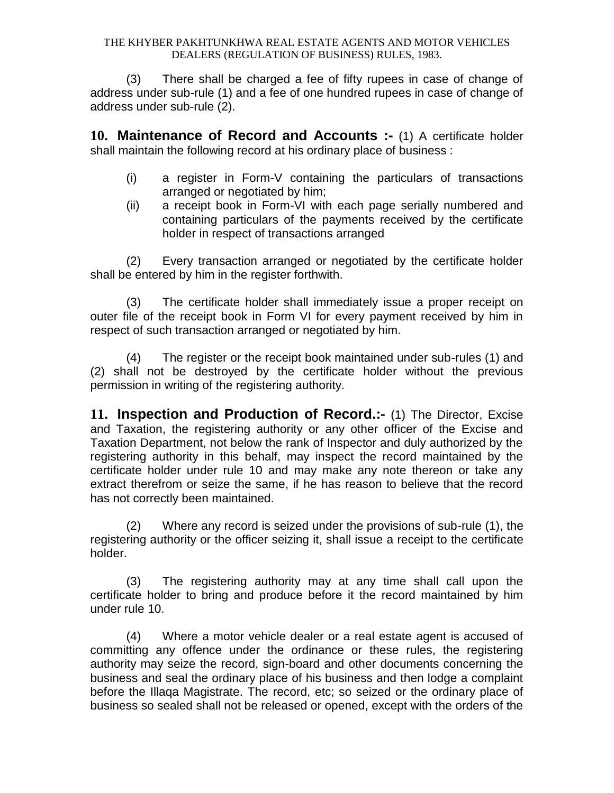(3) There shall be charged a fee of fifty rupees in case of change of address under sub-rule (1) and a fee of one hundred rupees in case of change of address under sub-rule (2).

**10. Maintenance of Record and Accounts :-** (1) A certificate holder shall maintain the following record at his ordinary place of business :

- (i) a register in Form-V containing the particulars of transactions arranged or negotiated by him;
- (ii) a receipt book in Form-VI with each page serially numbered and containing particulars of the payments received by the certificate holder in respect of transactions arranged

(2) Every transaction arranged or negotiated by the certificate holder shall be entered by him in the register forthwith.

(3) The certificate holder shall immediately issue a proper receipt on outer file of the receipt book in Form VI for every payment received by him in respect of such transaction arranged or negotiated by him.

(4) The register or the receipt book maintained under sub-rules (1) and (2) shall not be destroyed by the certificate holder without the previous permission in writing of the registering authority.

**11. Inspection and Production of Record.:-** (1) The Director, Excise and Taxation, the registering authority or any other officer of the Excise and Taxation Department, not below the rank of Inspector and duly authorized by the registering authority in this behalf, may inspect the record maintained by the certificate holder under rule 10 and may make any note thereon or take any extract therefrom or seize the same, if he has reason to believe that the record has not correctly been maintained.

(2) Where any record is seized under the provisions of sub-rule (1), the registering authority or the officer seizing it, shall issue a receipt to the certificate holder.

(3) The registering authority may at any time shall call upon the certificate holder to bring and produce before it the record maintained by him under rule 10.

(4) Where a motor vehicle dealer or a real estate agent is accused of committing any offence under the ordinance or these rules, the registering authority may seize the record, sign-board and other documents concerning the business and seal the ordinary place of his business and then lodge a complaint before the Illaqa Magistrate. The record, etc; so seized or the ordinary place of business so sealed shall not be released or opened, except with the orders of the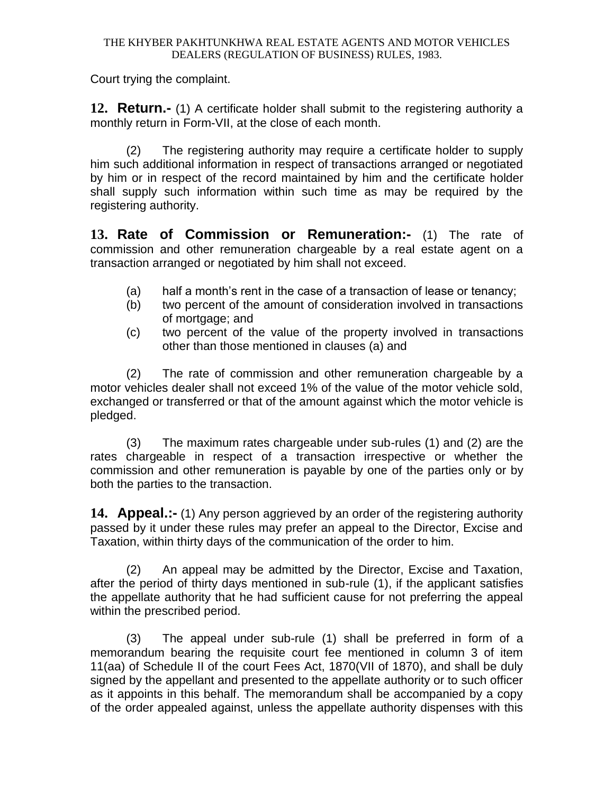Court trying the complaint.

**12. Return.-** (1) A certificate holder shall submit to the registering authority a monthly return in Form-VII, at the close of each month.

(2) The registering authority may require a certificate holder to supply him such additional information in respect of transactions arranged or negotiated by him or in respect of the record maintained by him and the certificate holder shall supply such information within such time as may be required by the registering authority.

**13. Rate of Commission or Remuneration:-** (1) The rate of commission and other remuneration chargeable by a real estate agent on a transaction arranged or negotiated by him shall not exceed.

- (a) half a month's rent in the case of a transaction of lease or tenancy;
- (b) two percent of the amount of consideration involved in transactions of mortgage; and
- (c) two percent of the value of the property involved in transactions other than those mentioned in clauses (a) and

(2) The rate of commission and other remuneration chargeable by a motor vehicles dealer shall not exceed 1% of the value of the motor vehicle sold, exchanged or transferred or that of the amount against which the motor vehicle is pledged.

(3) The maximum rates chargeable under sub-rules (1) and (2) are the rates chargeable in respect of a transaction irrespective or whether the commission and other remuneration is payable by one of the parties only or by both the parties to the transaction.

**14. Appeal.:-** (1) Any person aggrieved by an order of the registering authority passed by it under these rules may prefer an appeal to the Director, Excise and Taxation, within thirty days of the communication of the order to him.

(2) An appeal may be admitted by the Director, Excise and Taxation, after the period of thirty days mentioned in sub-rule (1), if the applicant satisfies the appellate authority that he had sufficient cause for not preferring the appeal within the prescribed period.

(3) The appeal under sub-rule (1) shall be preferred in form of a memorandum bearing the requisite court fee mentioned in column 3 of item 11(aa) of Schedule II of the court Fees Act, 1870(VII of 1870), and shall be duly signed by the appellant and presented to the appellate authority or to such officer as it appoints in this behalf. The memorandum shall be accompanied by a copy of the order appealed against, unless the appellate authority dispenses with this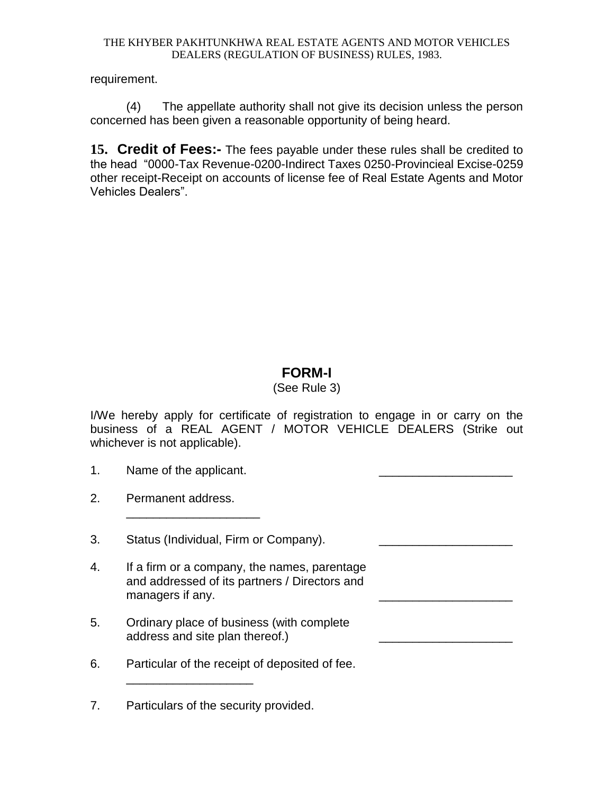requirement.

(4) The appellate authority shall not give its decision unless the person concerned has been given a reasonable opportunity of being heard.

**15. Credit of Fees:-** The fees payable under these rules shall be credited to the head "0000-Tax Revenue-0200-Indirect Taxes 0250-Provincieal Excise-0259 other receipt-Receipt on accounts of license fee of Real Estate Agents and Motor Vehicles Dealers".

# **FORM-I**

## (See Rule 3)

I/We hereby apply for certificate of registration to engage in or carry on the business of a REAL AGENT / MOTOR VEHICLE DEALERS (Strike out whichever is not applicable).

- 1. Name of the applicant.
- 2. Permanent address.
- 3. Status (Individual, Firm or Company).

\_\_\_\_\_\_\_\_\_\_\_\_\_\_\_\_\_\_\_\_

- 4. If a firm or a company, the names, parentage and addressed of its partners / Directors and managers if any.
- 5. Ordinary place of business (with complete address and site plan thereof.)
- 6. Particular of the receipt of deposited of fee.

7. Particulars of the security provided.

\_\_\_\_\_\_\_\_\_\_\_\_\_\_\_\_\_\_\_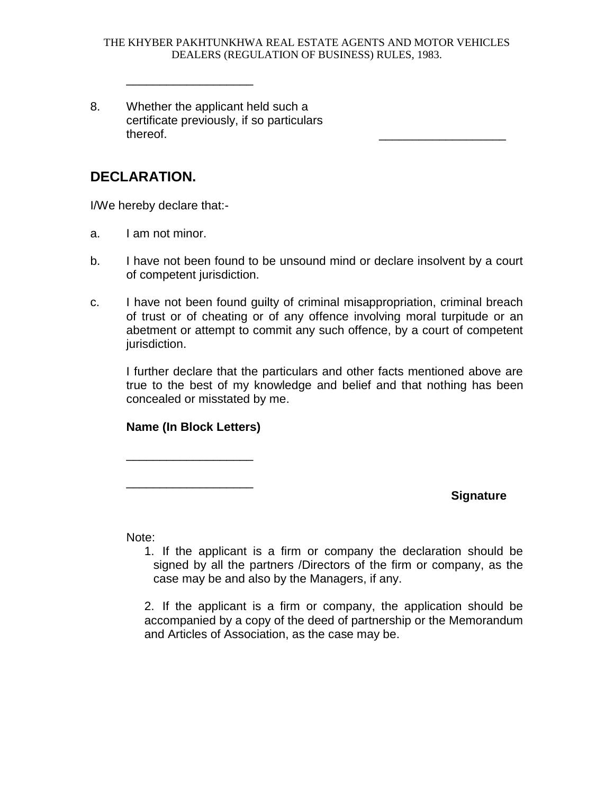8. Whether the applicant held such a certificate previously, if so particulars thereof. \_\_\_\_\_\_\_\_\_\_\_\_\_\_\_\_\_\_\_

\_\_\_\_\_\_\_\_\_\_\_\_\_\_\_\_\_\_\_

# **DECLARATION.**

I/We hereby declare that:-

- a. I am not minor.
- b. I have not been found to be unsound mind or declare insolvent by a court of competent jurisdiction.
- c. I have not been found guilty of criminal misappropriation, criminal breach of trust or of cheating or of any offence involving moral turpitude or an abetment or attempt to commit any such offence, by a court of competent jurisdiction.

I further declare that the particulars and other facts mentioned above are true to the best of my knowledge and belief and that nothing has been concealed or misstated by me.

## **Name (In Block Letters)**

\_\_\_\_\_\_\_\_\_\_\_\_\_\_\_\_\_\_\_

\_\_\_\_\_\_\_\_\_\_\_\_\_\_\_\_\_\_\_

## **Signature**

Note:

1. If the applicant is a firm or company the declaration should be signed by all the partners /Directors of the firm or company, as the case may be and also by the Managers, if any.

2. If the applicant is a firm or company, the application should be accompanied by a copy of the deed of partnership or the Memorandum and Articles of Association, as the case may be.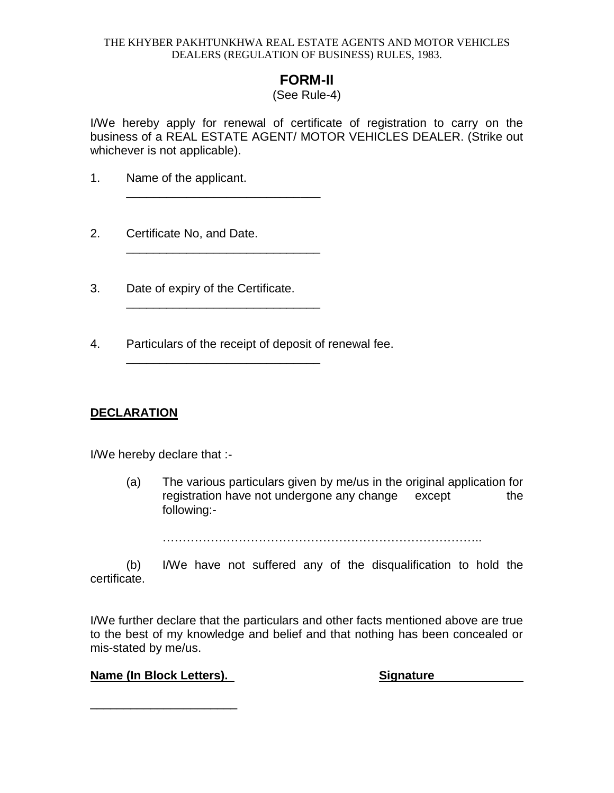# **FORM-II**

## (See Rule-4)

I/We hereby apply for renewal of certificate of registration to carry on the business of a REAL ESTATE AGENT/ MOTOR VEHICLES DEALER. (Strike out whichever is not applicable).

- 1. Name of the applicant.
- 2. Certificate No, and Date.
- 3. Date of expiry of the Certificate.

\_\_\_\_\_\_\_\_\_\_\_\_\_\_\_\_\_\_\_\_\_\_\_\_\_\_\_\_\_

\_\_\_\_\_\_\_\_\_\_\_\_\_\_\_\_\_\_\_\_\_\_\_\_\_\_\_\_\_

\_\_\_\_\_\_\_\_\_\_\_\_\_\_\_\_\_\_\_\_\_\_\_\_\_\_\_\_\_

\_\_\_\_\_\_\_\_\_\_\_\_\_\_\_\_\_\_\_\_\_\_\_\_\_\_\_\_\_

4. Particulars of the receipt of deposit of renewal fee.

## **DECLARATION**

I/We hereby declare that :-

(a) The various particulars given by me/us in the original application for registration have not undergone any change except the following:-

……………………………………………………………………..

(b) I/We have not suffered any of the disqualification to hold the certificate.

I/We further declare that the particulars and other facts mentioned above are true to the best of my knowledge and belief and that nothing has been concealed or mis-stated by me/us.

## **Name (In Block Letters). Signature Signature**

\_\_\_\_\_\_\_\_\_\_\_\_\_\_\_\_\_\_\_\_\_\_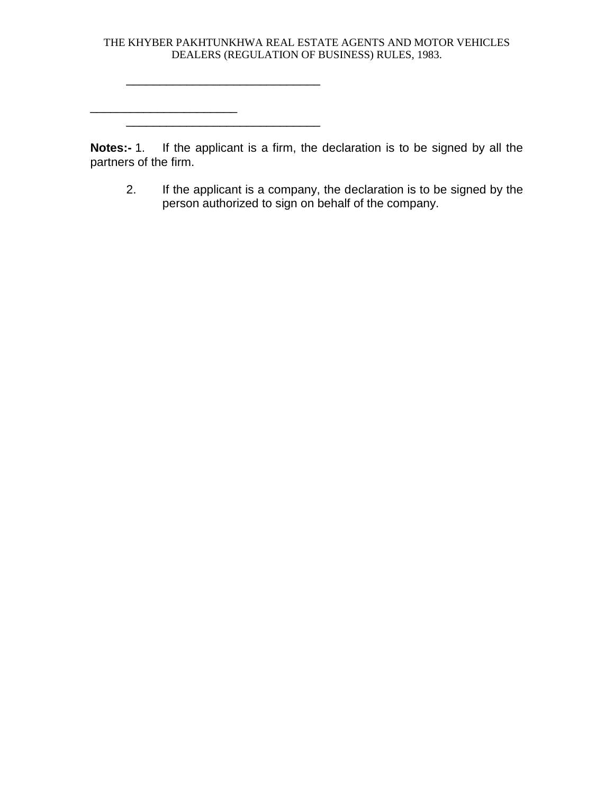$\overline{\phantom{a}}$  , where  $\overline{\phantom{a}}$ 

\_\_\_\_\_\_\_\_\_\_\_\_\_\_\_\_\_\_\_\_\_\_\_\_\_\_\_\_\_

**Notes:-** 1. If the applicant is a firm, the declaration is to be signed by all the partners of the firm.

2. If the applicant is a company, the declaration is to be signed by the person authorized to sign on behalf of the company.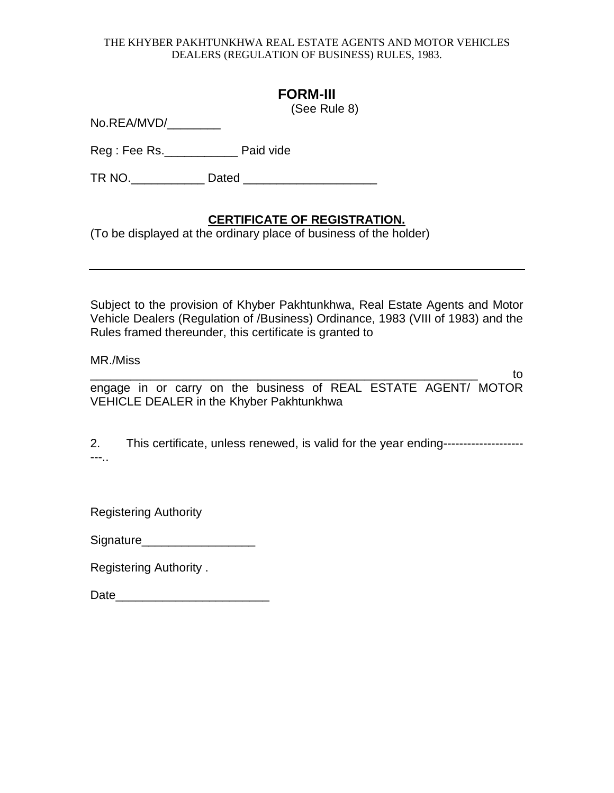# **FORM-III**

(See Rule 8)

No.REA/MVD/\_\_\_\_\_

Reg : Fee Rs.\_\_\_\_\_\_\_\_\_\_\_ Paid vide

TR NO.\_\_\_\_\_\_\_\_\_\_\_ Dated \_\_\_\_\_\_\_\_\_\_\_\_\_\_\_\_\_\_\_\_

## **CERTIFICATE OF REGISTRATION.**

(To be displayed at the ordinary place of business of the holder)

Subject to the provision of Khyber Pakhtunkhwa, Real Estate Agents and Motor Vehicle Dealers (Regulation of /Business) Ordinance, 1983 (VIII of 1983) and the Rules framed thereunder, this certificate is granted to

MR./Miss

 $\qquad \qquad$  to  $\qquad \qquad$ engage in or carry on the business of REAL ESTATE AGENT/ MOTOR VEHICLE DEALER in the Khyber Pakhtunkhwa

2. This certificate, unless renewed, is valid for the year ending-----------------------..

Registering Authority

| Signature |  |  |
|-----------|--|--|
|           |  |  |

Registering Authority .

Date\_\_\_\_\_\_\_\_\_\_\_\_\_\_\_\_\_\_\_\_\_\_\_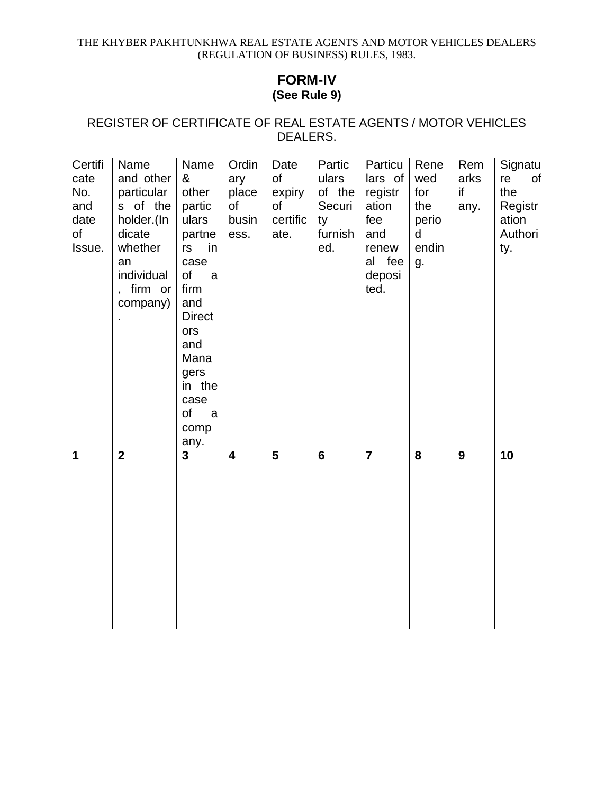## **FORM-IV (See Rule 9)**

## REGISTER OF CERTIFICATE OF REAL ESTATE AGENTS / MOTOR VEHICLES DEALERS.

| Certifi | Name         | Name                    | Ordin                   | Date           | Partic         | Particu        | Rene  | Rem  | Signatu  |
|---------|--------------|-------------------------|-------------------------|----------------|----------------|----------------|-------|------|----------|
| cate    | and other    | &                       | ary                     | of             | ulars          | lars of        | wed   | arks | of<br>re |
| No.     | particular   | other                   | place                   | expiry         | of the         | registr        | for   | if   | the      |
| and     | s of the     | partic                  | of                      | of             | Securi         | ation          | the   | any. | Registr  |
| date    | holder.(In   | ulars                   | busin                   | certific       | ty             | fee            | perio |      | ation    |
| of      | dicate       | partne                  | ess.                    | ate.           | furnish        | and            | d     |      | Authori  |
| Issue.  | whether      | rs<br>in                |                         |                | ed.            | renew          | endin |      | ty.      |
|         | an           | case                    |                         |                |                | al fee         | g.    |      |          |
|         | individual   | $\circ$ f<br>a          |                         |                |                | deposi         |       |      |          |
|         | , firm or    | firm                    |                         |                |                | ted.           |       |      |          |
|         | company)     | and                     |                         |                |                |                |       |      |          |
|         |              | <b>Direct</b>           |                         |                |                |                |       |      |          |
|         |              | ors                     |                         |                |                |                |       |      |          |
|         |              | and                     |                         |                |                |                |       |      |          |
|         |              | Mana                    |                         |                |                |                |       |      |          |
|         |              | gers                    |                         |                |                |                |       |      |          |
|         |              | in the                  |                         |                |                |                |       |      |          |
|         |              | case                    |                         |                |                |                |       |      |          |
|         |              | of<br>a                 |                         |                |                |                |       |      |          |
|         |              | comp                    |                         |                |                |                |       |      |          |
|         |              | any.                    |                         |                |                |                |       |      |          |
| 1       | $\mathbf{2}$ | $\overline{\mathbf{3}}$ | $\overline{\mathbf{4}}$ | $5\phantom{1}$ | $6\phantom{1}$ | $\overline{7}$ | 8     | 9    | 10       |
|         |              |                         |                         |                |                |                |       |      |          |
|         |              |                         |                         |                |                |                |       |      |          |
|         |              |                         |                         |                |                |                |       |      |          |
|         |              |                         |                         |                |                |                |       |      |          |
|         |              |                         |                         |                |                |                |       |      |          |
|         |              |                         |                         |                |                |                |       |      |          |
|         |              |                         |                         |                |                |                |       |      |          |
|         |              |                         |                         |                |                |                |       |      |          |
|         |              |                         |                         |                |                |                |       |      |          |
|         |              |                         |                         |                |                |                |       |      |          |
|         |              |                         |                         |                |                |                |       |      |          |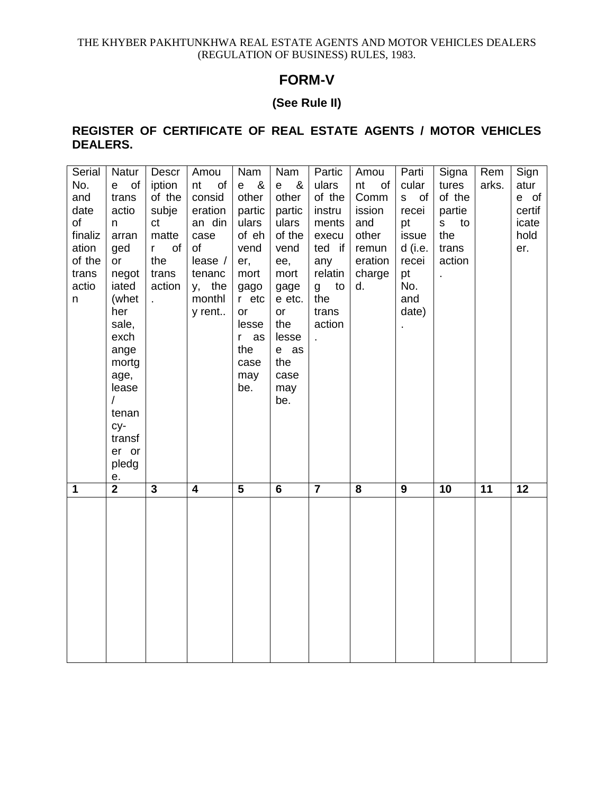## **FORM-V**

## **(See Rule II)**

## **REGISTER OF CERTIFICATE OF REAL ESTATE AGENTS / MOTOR VEHICLES DEALERS.**

| Serial  | Natur              | Descr              | Amou                    | Nam                     | Nam              | Partic         | Amou     | Parti          | Signa                | Rem             | Sign            |
|---------|--------------------|--------------------|-------------------------|-------------------------|------------------|----------------|----------|----------------|----------------------|-----------------|-----------------|
| No.     | of<br>$\mathbf{e}$ | iption             | nt<br>of                | &<br>$\mathbf{e}$       | &<br>$\mathbf e$ | ulars          | nt<br>of | cular          | tures                | arks.           | atur            |
| and     | trans              | of the             | consid                  | other                   | other            | of the         | Comm     | S<br>of        | of the               |                 | e of            |
| date    | actio              | subje              | eration                 | partic                  | partic           | instru         | ission   | recei          | partie               |                 | certif          |
| of      | n                  | ct                 | an din                  | ulars                   | ulars            | ments          | and      | pt             | S <sub>s</sub><br>to |                 | icate           |
| finaliz | arran              | matte              | case                    | of eh                   | of the           | execu          | other    | issue          | the                  |                 | hold            |
| ation   | ged                | of<br>$\mathsf{r}$ | of                      | vend                    | vend             | ted if         | remun    | d (i.e.        | trans                |                 | er.             |
| of the  | or                 | the                | lease /                 | er,                     | ee,              | any            | eration  | recei          | action               |                 |                 |
| trans   | negot              | trans              | tenanc                  | mort                    | mort             | relatin        | charge   | pt             |                      |                 |                 |
| actio   | iated              | action             | y, the                  | gago                    | gage             | g<br>to        | d.       | No.            |                      |                 |                 |
| n       | (whet              | t,                 | monthl                  | r etc                   | e etc.           | the            |          | and            |                      |                 |                 |
|         | her                |                    | y rent                  | or                      | or               | trans          |          | date)          |                      |                 |                 |
|         | sale,              |                    |                         | lesse                   | the              | action         |          | $\blacksquare$ |                      |                 |                 |
|         | exch               |                    |                         | r as                    | lesse            |                |          |                |                      |                 |                 |
|         | ange               |                    |                         | the                     | e as             |                |          |                |                      |                 |                 |
|         | mortg              |                    |                         | case                    | the              |                |          |                |                      |                 |                 |
|         | age,               |                    |                         | may                     | case             |                |          |                |                      |                 |                 |
|         | lease              |                    |                         | be.                     | may              |                |          |                |                      |                 |                 |
|         |                    |                    |                         |                         | be.              |                |          |                |                      |                 |                 |
|         | tenan              |                    |                         |                         |                  |                |          |                |                      |                 |                 |
|         | cy-<br>transf      |                    |                         |                         |                  |                |          |                |                      |                 |                 |
|         | er or              |                    |                         |                         |                  |                |          |                |                      |                 |                 |
|         | pledg              |                    |                         |                         |                  |                |          |                |                      |                 |                 |
|         | е.                 |                    |                         |                         |                  |                |          |                |                      |                 |                 |
| 1       | $\overline{2}$     | $\overline{3}$     | $\overline{\mathbf{4}}$ | $\overline{\mathbf{5}}$ | $6\phantom{a}$   | $\overline{7}$ | 8        | 9              | $\overline{10}$      | $\overline{11}$ | $\overline{12}$ |
|         |                    |                    |                         |                         |                  |                |          |                |                      |                 |                 |
|         |                    |                    |                         |                         |                  |                |          |                |                      |                 |                 |
|         |                    |                    |                         |                         |                  |                |          |                |                      |                 |                 |
|         |                    |                    |                         |                         |                  |                |          |                |                      |                 |                 |
|         |                    |                    |                         |                         |                  |                |          |                |                      |                 |                 |
|         |                    |                    |                         |                         |                  |                |          |                |                      |                 |                 |
|         |                    |                    |                         |                         |                  |                |          |                |                      |                 |                 |
|         |                    |                    |                         |                         |                  |                |          |                |                      |                 |                 |
|         |                    |                    |                         |                         |                  |                |          |                |                      |                 |                 |
|         |                    |                    |                         |                         |                  |                |          |                |                      |                 |                 |
|         |                    |                    |                         |                         |                  |                |          |                |                      |                 |                 |
|         |                    |                    |                         |                         |                  |                |          |                |                      |                 |                 |
|         |                    |                    |                         |                         |                  |                |          |                |                      |                 |                 |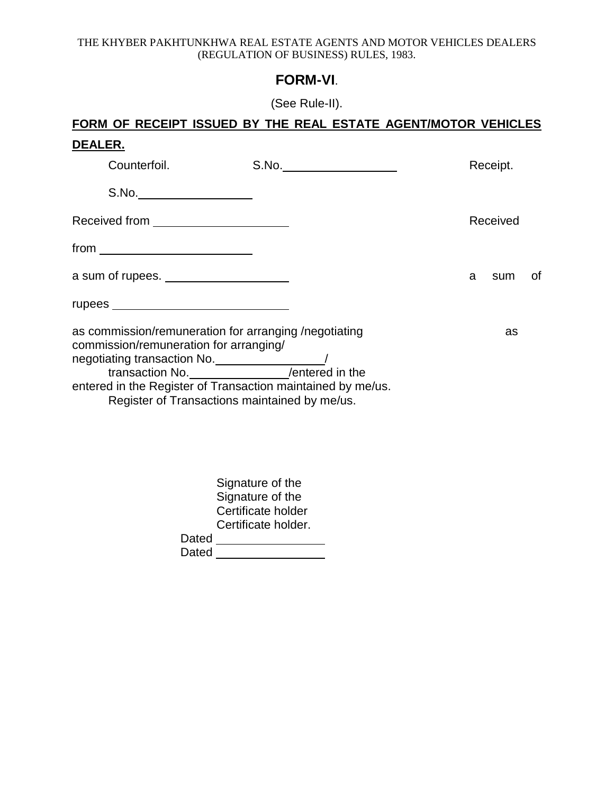# **FORM-VI**.

(See Rule-II).

|                                        | FORM OF RECEIPT ISSUED BY THE REAL ESTATE AGENT/MOTOR VEHICLES                                                                                                        |          |           |
|----------------------------------------|-----------------------------------------------------------------------------------------------------------------------------------------------------------------------|----------|-----------|
| <u>DEALER.</u>                         |                                                                                                                                                                       |          |           |
| Counterfoil.                           | S.No.                                                                                                                                                                 | Receipt. |           |
| S.No.                                  |                                                                                                                                                                       |          |           |
| Received from ________________________ |                                                                                                                                                                       |          | Received  |
| $from \_\_\_\_\_\_\_$                  |                                                                                                                                                                       |          |           |
|                                        |                                                                                                                                                                       | a        | of<br>sum |
|                                        |                                                                                                                                                                       |          |           |
| commission/remuneration for arranging/ | as commission/remuneration for arranging /negotiating<br>entered in the Register of Transaction maintained by me/us.<br>Register of Transactions maintained by me/us. |          | as        |
|                                        | Signature of the<br>Signature of the                                                                                                                                  |          |           |

|       | Certificate holder  |  |
|-------|---------------------|--|
|       | Certificate holder. |  |
| Dated |                     |  |
| Dated |                     |  |